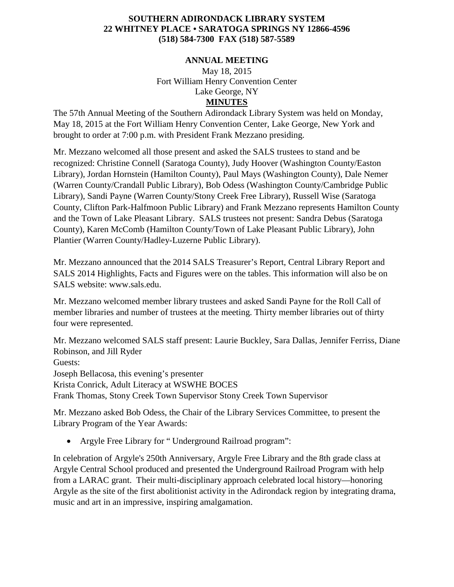## **SOUTHERN ADIRONDACK LIBRARY SYSTEM 22 WHITNEY PLACE • SARATOGA SPRINGS NY 12866-4596 (518) 584-7300 FAX (518) 587-5589**

## **ANNUAL MEETING**

May 18, 2015 Fort William Henry Convention Center Lake George, NY **MINUTES**

The 57th Annual Meeting of the Southern Adirondack Library System was held on Monday, May 18, 2015 at the Fort William Henry Convention Center, Lake George, New York and brought to order at 7:00 p.m. with President Frank Mezzano presiding.

Mr. Mezzano welcomed all those present and asked the SALS trustees to stand and be recognized: Christine Connell (Saratoga County), Judy Hoover (Washington County/Easton Library), Jordan Hornstein (Hamilton County), Paul Mays (Washington County), Dale Nemer (Warren County/Crandall Public Library), Bob Odess (Washington County/Cambridge Public Library), Sandi Payne (Warren County/Stony Creek Free Library), Russell Wise (Saratoga County, Clifton Park-Halfmoon Public Library) and Frank Mezzano represents Hamilton County and the Town of Lake Pleasant Library. SALS trustees not present: Sandra Debus (Saratoga County), Karen McComb (Hamilton County/Town of Lake Pleasant Public Library), John Plantier (Warren County/Hadley-Luzerne Public Library).

Mr. Mezzano announced that the 2014 SALS Treasurer's Report, Central Library Report and SALS 2014 Highlights, Facts and Figures were on the tables. This information will also be on SALS website: www.sals.edu.

Mr. Mezzano welcomed member library trustees and asked Sandi Payne for the Roll Call of member libraries and number of trustees at the meeting. Thirty member libraries out of thirty four were represented.

Mr. Mezzano welcomed SALS staff present: Laurie Buckley, Sara Dallas, Jennifer Ferriss, Diane Robinson, and Jill Ryder Guests: Joseph Bellacosa, this evening's presenter Krista Conrick, Adult Literacy at WSWHE BOCES Frank Thomas, Stony Creek Town Supervisor Stony Creek Town Supervisor

Mr. Mezzano asked Bob Odess, the Chair of the Library Services Committee, to present the Library Program of the Year Awards:

• Argyle Free Library for "Underground Railroad program":

In celebration of Argyle's 250th Anniversary, Argyle Free Library and the 8th grade class at Argyle Central School produced and presented the Underground Railroad Program with help from a LARAC grant. Their multi-disciplinary approach celebrated local history—honoring Argyle as the site of the first abolitionist activity in the Adirondack region by integrating drama, music and art in an impressive, inspiring amalgamation.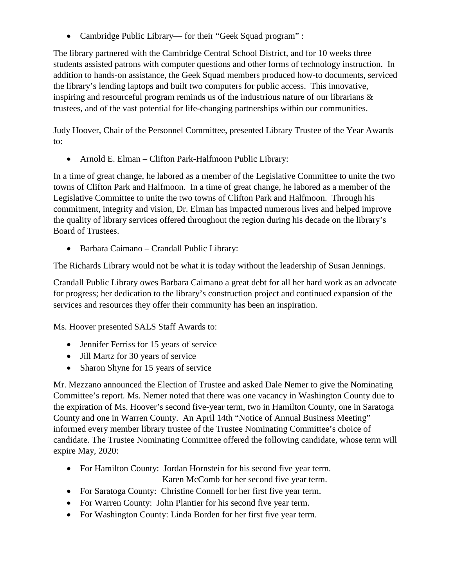• Cambridge Public Library— for their "Geek Squad program" :

The library partnered with the Cambridge Central School District, and for 10 weeks three students assisted patrons with computer questions and other forms of technology instruction. In addition to hands-on assistance, the Geek Squad members produced how-to documents, serviced the library's lending laptops and built two computers for public access. This innovative, inspiring and resourceful program reminds us of the industrious nature of our librarians & trustees, and of the vast potential for life-changing partnerships within our communities.

Judy Hoover, Chair of the Personnel Committee, presented Library Trustee of the Year Awards to:

• Arnold E. Elman – Clifton Park-Halfmoon Public Library:

In a time of great change, he labored as a member of the Legislative Committee to unite the two towns of Clifton Park and Halfmoon. In a time of great change, he labored as a member of the Legislative Committee to unite the two towns of Clifton Park and Halfmoon. Through his commitment, integrity and vision, Dr. Elman has impacted numerous lives and helped improve the quality of library services offered throughout the region during his decade on the library's Board of Trustees.

• Barbara Caimano – Crandall Public Library:

The Richards Library would not be what it is today without the leadership of Susan Jennings.

Crandall Public Library owes Barbara Caimano a great debt for all her hard work as an advocate for progress; her dedication to the library's construction project and continued expansion of the services and resources they offer their community has been an inspiration.

Ms. Hoover presented SALS Staff Awards to:

- Jennifer Ferriss for 15 years of service
- Jill Martz for 30 years of service
- Sharon Shyne for 15 years of service

Mr. Mezzano announced the Election of Trustee and asked Dale Nemer to give the Nominating Committee's report. Ms. Nemer noted that there was one vacancy in Washington County due to the expiration of Ms. Hoover's second five-year term, two in Hamilton County, one in Saratoga County and one in Warren County. An April 14th "Notice of Annual Business Meeting" informed every member library trustee of the Trustee Nominating Committee's choice of candidate. The Trustee Nominating Committee offered the following candidate, whose term will expire May, 2020:

- For Hamilton County: Jordan Hornstein for his second five year term. Karen McComb for her second five year term.
- For Saratoga County: Christine Connell for her first five year term.
- For Warren County: John Plantier for his second five year term.
- For Washington County: Linda Borden for her first five year term.